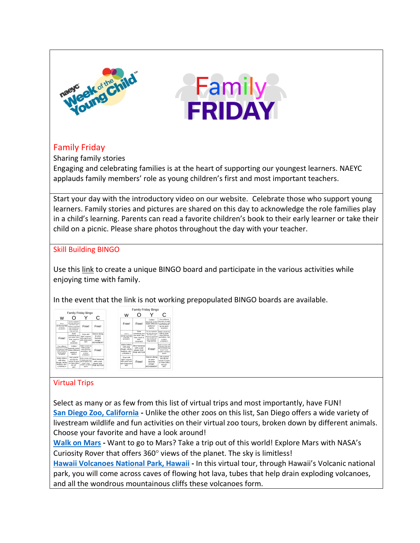



## Family Friday

Sharing family stories

Engaging and celebrating families is at the heart of supporting our youngest learners. NAEYC applauds family members' role as young children's first and most important teachers.

Start your day with the introductory video on our website. Celebrate those who support young learners. Family stories and pictures are shared on this day to acknowledge the role families play in a child's learning. Parents can read a favorite children's book to their early learner or take their child on a picnic. Please share photos throughout the day with your teacher.

## Skill Building BINGO

Use this [link](http://bingobaker.com/play/3023425) to create a unique BINGO board and participate in the various activities while enjoying time with family.

In the event that the link is not working prepopulated BINGO boards are available.



| Family Friday Bingo                                                                                  |                                                                                     |                                                                                                                                     |                                                                                                                |
|------------------------------------------------------------------------------------------------------|-------------------------------------------------------------------------------------|-------------------------------------------------------------------------------------------------------------------------------------|----------------------------------------------------------------------------------------------------------------|
| w                                                                                                    |                                                                                     |                                                                                                                                     | C                                                                                                              |
| Free!                                                                                                | Free!                                                                               | Collect<br>leaves& rocks!<br>Make different<br>patterns!<br><b>MATH</b>                                                             | Pour different<br>amounts of water<br>in 6 classes! Add<br>food coloring &<br>tap the olassi<br><b>SCIENCE</b> |
| Draw at<br>pissagicu ny itaniche<br><b>Eng with chalk! Walk</b><br>on the line!<br><b>MA'S/CMCMT</b> | Draw<br>something you<br>can taste, see,<br>hear, touch &<br>seel<br><b>SCIENCE</b> | Go on a tweezer<br>trip! see what you<br>can find in your<br>house or yard that<br>you can pick up<br>with a tweezer!<br>FINE MOTOR | Make a book by<br>folding paper.<br>draw pictures.<br>and letters Tell<br>a story!<br><b>LITERACY</b>          |
| Make letters<br>with play<br>dough, sticks.<br>buttons, etc!<br>LITERACY                             | Slice bananas<br>with a dull<br>plastic fork!<br><b>FINE MOTOR</b>                  | Free!                                                                                                                               | Build a tower with<br>5 blocks and one<br>with 81 Which has<br>mone? Core.<br>wicther numbers'<br>MATH         |
| Draw with<br>"light" crayons,<br>then paint over<br>with watercolor!<br>ART                          | Free!                                                                               | Dance along<br>to your<br>favorite<br>sonas!<br><b>MOVEMENT</b>                                                                     | Get a pencil<br>and dip the<br>eraser in paint<br>to make polka<br>des arti<br>ART                             |

## Virtual Trips

 $\overline{a}$ 

Select as many or as few from this list of virtual trips and most importantly, have FUN! **[San Diego Zoo, California](https://kids.sandiegozoo.org/) -** Unlike the other zoos on this list, San Diego offers a wide variety of livestream wildlife and fun activities on their virtual zoo tours, broken down by different animals. Choose your favorite and have a look around!

**[Walk on Mars](https://accessmars.withgoogle.com/) -** Want to go to Mars? Take a trip out of this world! Explore Mars with NASA's Curiosity Rover that offers 360° views of the planet. The sky is limitless!

**[Hawaii Volcanoes National Park, Hawaii](https://artsandculture.withgoogle.com/en-us/national-parks-service/hawaii-volcanoes/nahuku-lava-tube-tour) -** In this virtual tour, through Hawaii's Volcanic national park, you will come across caves of flowing hot lava, tubes that help drain exploding volcanoes, and all the wondrous mountainous cliffs these volcanoes form.